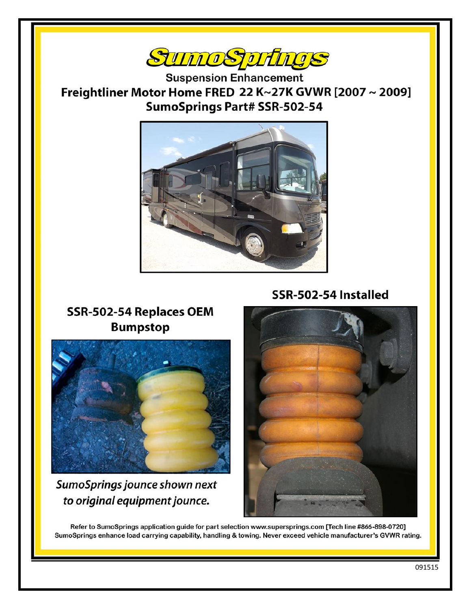

**Suspension Enhancement** Freightliner Motor Home FRED 22 K~27K GVWR [2007~2009] **SumoSprings Part# SSR-502-54** 



SSR-502-54 Installed

## SSR-502-54 Replaces OEM **Bumpstop**



SumoSprings jounce shown next to original equipment jounce.



Refer to SumoSprings application guide for part selection www.supersprings.com [Tech line #866-898-0720] SumoSprings enhance load carrying capability, handling & towing. Never exceed vehicle manufacturer's GVWR rating.